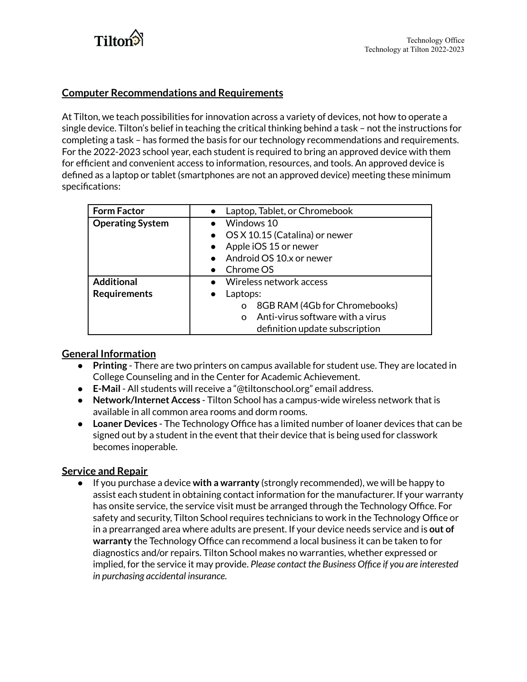

# **Computer Recommendations and Requirements**

At Tilton, we teach possibilities for innovation across a variety of devices, not how to operate a single device. Tilton's belief in teaching the critical thinking behind a task – not the instructions for completing a task – has formed the basis for our technology recommendations and requirements. For the 2022-2023 school year, each student is required to bring an approved device with them for efficient and convenient access to information, resources, and tools. An approved device is defined as a laptop or tablet (smartphones are not an approved device) meeting these minimum specifications:

| <b>Form Factor</b>      | Laptop, Tablet, or Chromebook                |
|-------------------------|----------------------------------------------|
| <b>Operating System</b> | Windows 10                                   |
|                         | • OS X 10.15 (Catalina) or newer             |
|                         | Apple iOS 15 or newer                        |
|                         | Android OS 10.x or newer                     |
|                         | Chrome OS                                    |
| <b>Additional</b>       | Wireless network access<br>$\bullet$         |
| <b>Requirements</b>     | Laptops:                                     |
|                         | 8GB RAM (4Gb for Chromebooks)<br>O           |
|                         | Anti-virus software with a virus<br>$\Omega$ |
|                         | definition update subscription               |

# **General Information**

- **Printing** There are two printers on campus available for student use. They are located in College Counseling and in the Center for Academic Achievement.
- **E-Mail** All students will receive a "@tiltonschool.org" email address.
- **Network/Internet Access** Tilton School has a campus-wide wireless network that is available in all common area rooms and dorm rooms.
- **Loaner Devices** The Technology Office has a limited number of loaner devices that can be signed out by a student in the event that their device that is being used for classwork becomes inoperable.

### **Service and Repair**

● If you purchase a device **with a warranty** (strongly recommended), we will be happy to assist each student in obtaining contact information for the manufacturer. If your warranty has onsite service, the service visit must be arranged through the Technology Office. For safety and security, Tilton School requires technicians to work in the Technology Office or in a prearranged area where adults are present. If your device needs service and is **out of warranty** the Technology Office can recommend a local business it can be taken to for diagnostics and/or repairs. Tilton School makes no warranties, whether expressed or implied, for the service it may provide. *Please contact the Business Office if you are interested in purchasing accidental insurance.*